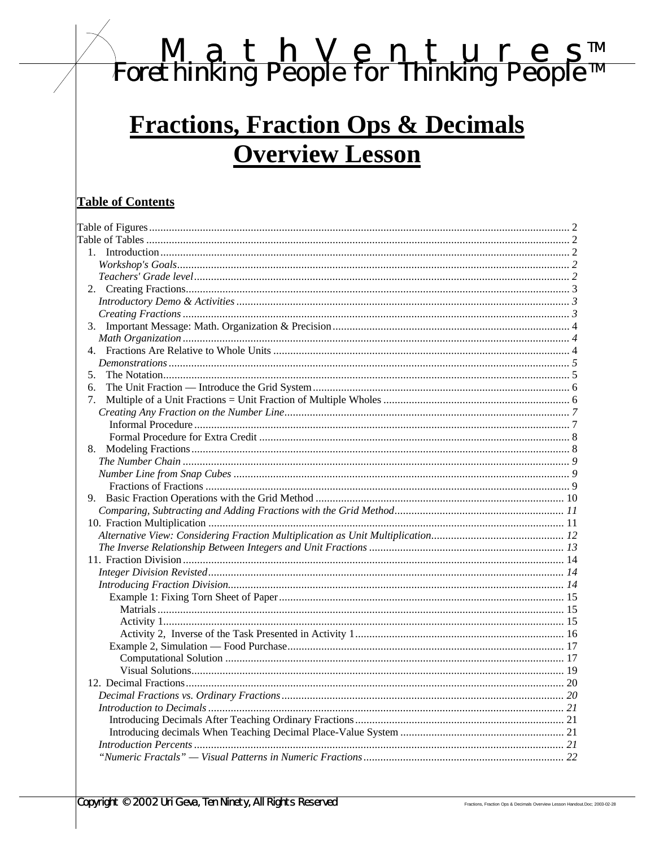# <u>M a t h V e n t u r e s™</u><br>Forethinking People for Thinking People™

# **Fractions, Fraction Ops & Decimals Overview Lesson**

# **Table of Contents**

| 3. |  |
|----|--|
|    |  |
|    |  |
|    |  |
| 5. |  |
| 6. |  |
| 7. |  |
|    |  |
|    |  |
|    |  |
|    |  |
|    |  |
|    |  |
|    |  |
|    |  |
|    |  |
|    |  |
|    |  |
|    |  |
|    |  |
|    |  |
|    |  |
|    |  |
|    |  |
|    |  |
|    |  |
|    |  |
|    |  |
|    |  |
|    |  |
|    |  |
|    |  |
|    |  |
|    |  |
|    |  |
|    |  |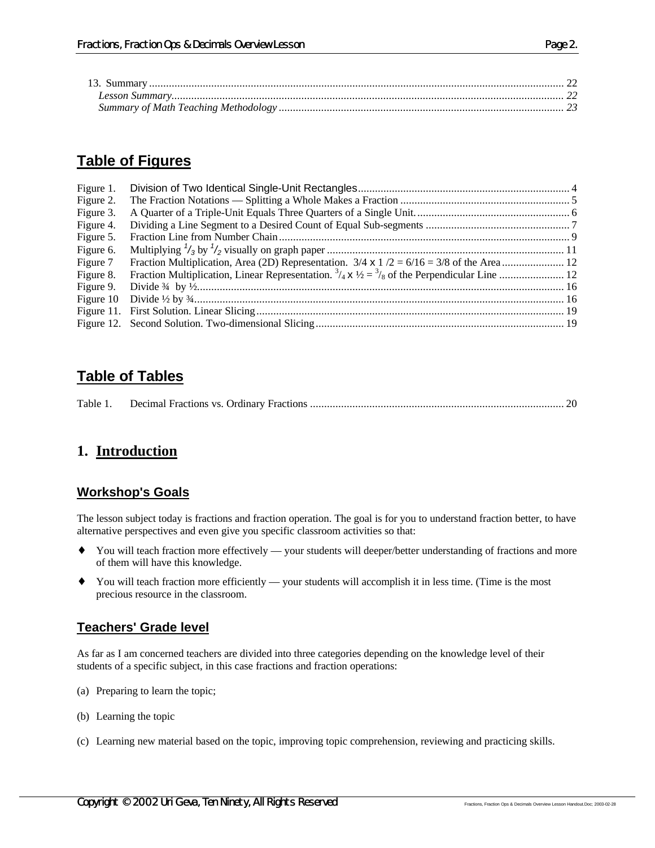# **Table of Figures**

| Figure 1. |  |
|-----------|--|
| Figure 2. |  |
| Figure 3. |  |
| Figure 4. |  |
| Figure 5. |  |
| Figure 6. |  |
| Figure 7  |  |
| Figure 8. |  |
|           |  |
|           |  |
|           |  |
|           |  |

# **Table of Tables**

|--|--|--|--|--|--|

# **1. Introduction**

#### **Workshop's Goals**

The lesson subject today is fractions and fraction operation. The goal is for you to understand fraction better, to have alternative perspectives and even give you specific classroom activities so that:

- ♦ You will teach fraction more effectively your students will deeper/better understanding of fractions and more of them will have this knowledge.
- ♦ You will teach fraction more efficiently your students will accomplish it in less time. (Time is the most precious resource in the classroom.

# **Teachers' Grade level**

As far as I am concerned teachers are divided into three categories depending on the knowledge level of their students of a specific subject, in this case fractions and fraction operations:

- (a) Preparing to learn the topic;
- (b) Learning the topic
- (c) Learning new material based on the topic, improving topic comprehension, reviewing and practicing skills.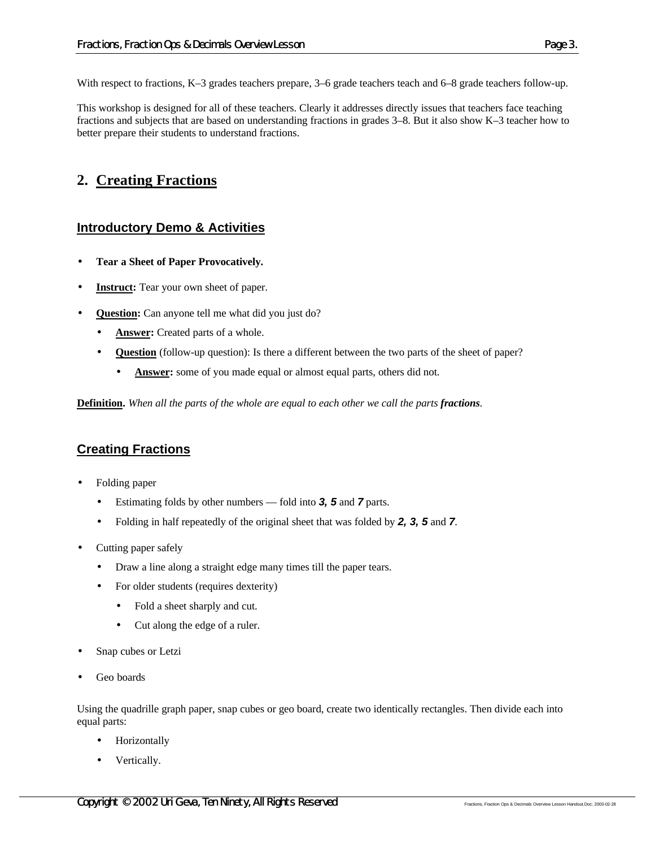With respect to fractions, K–3 grades teachers prepare, 3–6 grade teachers teach and 6–8 grade teachers follow-up.

This workshop is designed for all of these teachers. Clearly it addresses directly issues that teachers face teaching fractions and subjects that are based on understanding fractions in grades 3–8. But it also show K–3 teacher how to better prepare their students to understand fractions.

# **2. Creating Fractions**

# **Introductory Demo & Activities**

- **Tear a Sheet of Paper Provocatively.**
- **Instruct:** Tear your own sheet of paper.
- **Question:** Can anyone tell me what did you just do?
	- Answer: Created parts of a whole.
	- **Question** (follow-up question): Is there a different between the two parts of the sheet of paper?
		- **Answer:** some of you made equal or almost equal parts, others did not.

**Definition.** *When all the parts of the whole are equal to each other we call the parts fractions.*

# **Creating Fractions**

- Folding paper
	- Estimating folds by other numbers fold into *3, 5* and *7* parts.
	- Folding in half repeatedly of the original sheet that was folded by *2, 3, 5* and *7*.
- Cutting paper safely
	- Draw a line along a straight edge many times till the paper tears.
	- For older students (requires dexterity)
		- Fold a sheet sharply and cut.
		- Cut along the edge of a ruler.
- Snap cubes or Letzi
- Geo boards

Using the quadrille graph paper, snap cubes or geo board, create two identically rectangles. Then divide each into equal parts:

- **Horizontally**
- Vertically.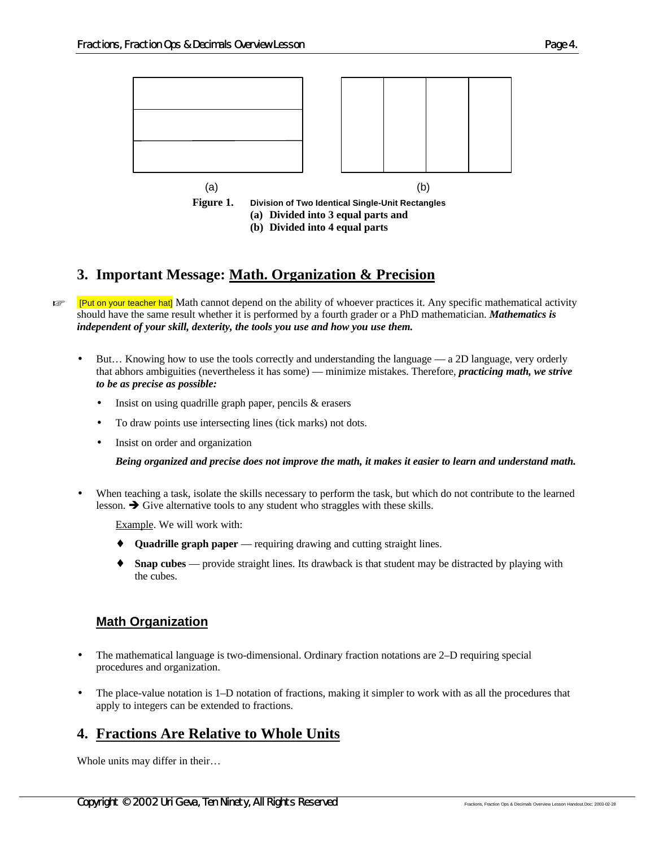

# **3. Important Message: Math. Organization & Precision**

**Example 1Put on your teacher hat** Math cannot depend on the ability of whoever practices it. Any specific mathematical activity should have the same result whether it is performed by a fourth grader or a PhD mathematician. *Mathematics is independent of your skill, dexterity, the tools you use and how you use them.*

- But... Knowing how to use the tools correctly and understanding the language a 2D language, very orderly that abhors ambiguities (nevertheless it has some) — minimize mistakes. Therefore, *practicing math, we strive to be as precise as possible:*
	- Insist on using quadrille graph paper, pencils & erasers
	- To draw points use intersecting lines (tick marks) not dots.
	- Insist on order and organization

*Being organized and precise does not improve the math, it makes it easier to learn and understand math.*

• When teaching a task, isolate the skills necessary to perform the task, but which do not contribute to the learned lesson.  $\rightarrow$  Give alternative tools to any student who straggles with these skills.

Example. We will work with:

- **Quadrille graph paper** requiring drawing and cutting straight lines.
- ♦ **Snap cubes**  provide straight lines. Its drawback is that student may be distracted by playing with the cubes.

# **Math Organization**

- The mathematical language is two-dimensional. Ordinary fraction notations are 2–D requiring special procedures and organization.
- The place-value notation is 1–D notation of fractions, making it simpler to work with as all the procedures that apply to integers can be extended to fractions.

# **4. Fractions Are Relative to Whole Units**

Whole units may differ in their…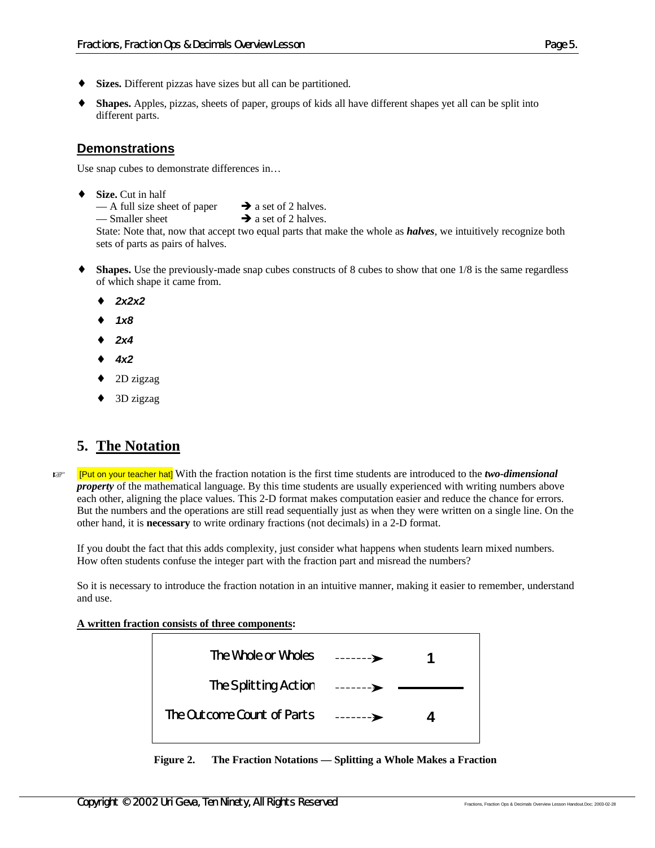- ♦ **Sizes.** Different pizzas have sizes but all can be partitioned.
- **Shapes.** Apples, pizzas, sheets of paper, groups of kids all have different shapes yet all can be split into different parts.

### **Demonstrations**

Use snap cubes to demonstrate differences in…

♦ **Size.** Cut in half

— A full size sheet of paper  $\rightarrow$  a set of 2 halves. — Smaller sheet  $\rightarrow$  a set of 2 halves.

State: Note that, now that accept two equal parts that make the whole as *halves*, we intuitively recognize both

sets of parts as pairs of halves.

- **Shapes.** Use the previously-made snap cubes constructs of 8 cubes to show that one 1/8 is the same regardless of which shape it came from.
	- ♦ *2x2x2*
	- ♦ *1x8*
	- ♦ *2x4*
	- ♦ *4x2*
	- ♦ 2D zigzag
	- 3D zigzag

# **5. The Notation**

 $F^*$  [Put on your teacher hat] With the fraction notation is the first time students are introduced to the *two-dimensional property* of the mathematical language. By this time students are usually experienced with writing numbers above each other, aligning the place values. This 2-D format makes computation easier and reduce the chance for errors. But the numbers and the operations are still read sequentially just as when they were written on a single line. On the other hand, it is **necessary** to write ordinary fractions (not decimals) in a 2-D format.

If you doubt the fact that this adds complexity, just consider what happens when students learn mixed numbers. How often students confuse the integer part with the fraction part and misread the numbers?

So it is necessary to introduce the fraction notation in an intuitive manner, making it easier to remember, understand and use.

#### **A written fraction consists of three components:**



**Figure 2. The Fraction Notations — Splitting a Whole Makes a Fraction**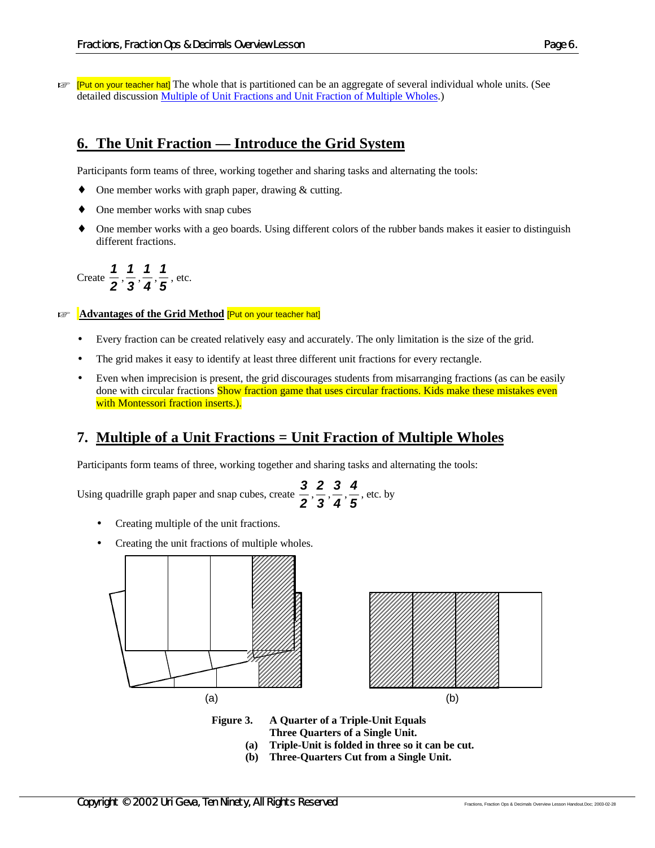$\mathbb{F}$  [Put on your teacher hat] The whole that is partitioned can be an aggregate of several individual whole units. (See detailed discussion Multiple of Unit Fractions and Unit Fraction of Multiple Wholes.)

# **6. The Unit Fraction — Introduce the Grid System**

Participants form teams of three, working together and sharing tasks and alternating the tools:

- ♦ One member works with graph paper, drawing & cutting.
- One member works with snap cubes
- One member works with a geo boards. Using different colors of the rubber bands makes it easier to distinguish different fractions.

Create *2*  $\frac{1}{2}$ ,  $\frac{1}{3}$  $\frac{1}{3}$ ,  $\frac{1}{4}$  $\frac{1}{4}$ ,  $\frac{1}{5}$  $\frac{1}{2}$ , etc.

**EXECUTE:** Advantages of the Grid Method [Put on your teacher hat]

- Every fraction can be created relatively easy and accurately. The only limitation is the size of the grid.
- The grid makes it easy to identify at least three different unit fractions for every rectangle.
- Even when imprecision is present, the grid discourages students from misarranging fractions (as can be easily done with circular fractions **Show fraction game that uses circular fractions. Kids make these mistakes even** with Montessori fraction inserts.).

# **7. Multiple of a Unit Fractions = Unit Fraction of Multiple Wholes**

Participants form teams of three, working together and sharing tasks and alternating the tools:

Using quadrille graph paper and snap cubes, create *2*  $\frac{3}{2}$ ,  $\frac{2}{3}$  $\frac{2}{3}$ ,  $\frac{3}{4}$  $\frac{3}{4}$ ,  $\frac{4}{5}$ *4* , etc. by

- Creating multiple of the unit fractions.
- Creating the unit fractions of multiple wholes.



**Figure 3. A Quarter of a Triple-Unit Equals**

- **Three Quarters of a Single Unit.**
- **(a) Triple-Unit is folded in three so it can be cut.**
- **(b) Three-Quarters Cut from a Single Unit.**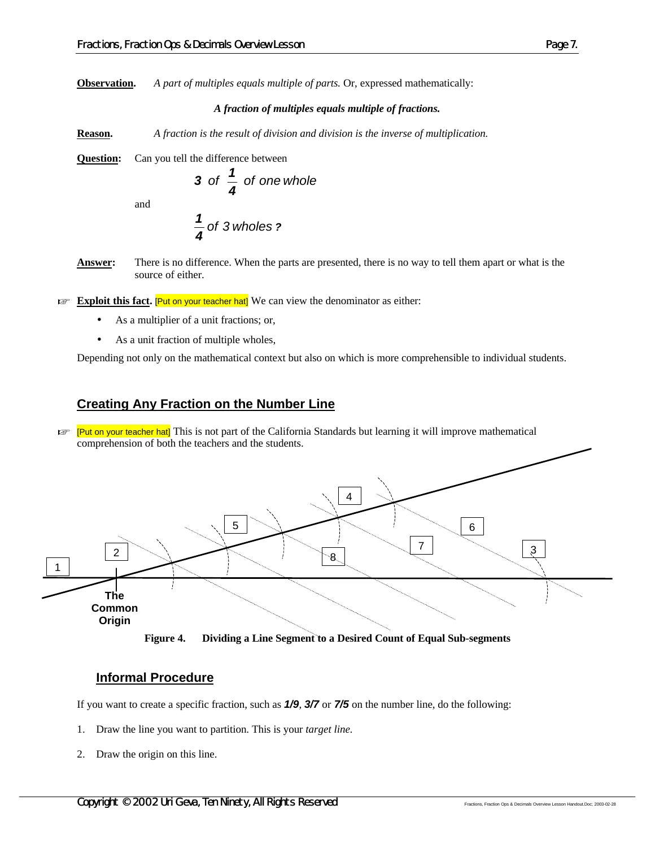#### *A fraction of multiples equals multiple of fractions.*

**Reason.** *A fraction is the result of division and division is the inverse of multiplication.*

**Question:** Can you tell the difference between

3 of 
$$
\frac{1}{4}
$$
 of one whole

and

$$
\frac{1}{4}
$$
 of 3 wholes ?

- **Answer:** There is no difference. When the parts are presented, there is no way to tell them apart or what is the source of either.
- **Exploit this fact. [Put on your teacher hat]** We can view the denominator as either:
	- As a multiplier of a unit fractions; or,
	- As a unit fraction of multiple wholes,

Depending not only on the mathematical context but also on which is more comprehensible to individual students.

#### **Creating Any Fraction on the Number Line**

**E. [Put on your teacher hat]** This is not part of the California Standards but learning it will improve mathematical comprehension of both the teachers and the students.



**Figure 4. Dividing a Line Segment to a Desired Count of Equal Sub-segments**

#### **Informal Procedure**

If you want to create a specific fraction, such as *1/9*, *3/7* or *7/5* on the number line, do the following:

- 1. Draw the line you want to partition. This is your *target line.*
- 2. Draw the origin on this line.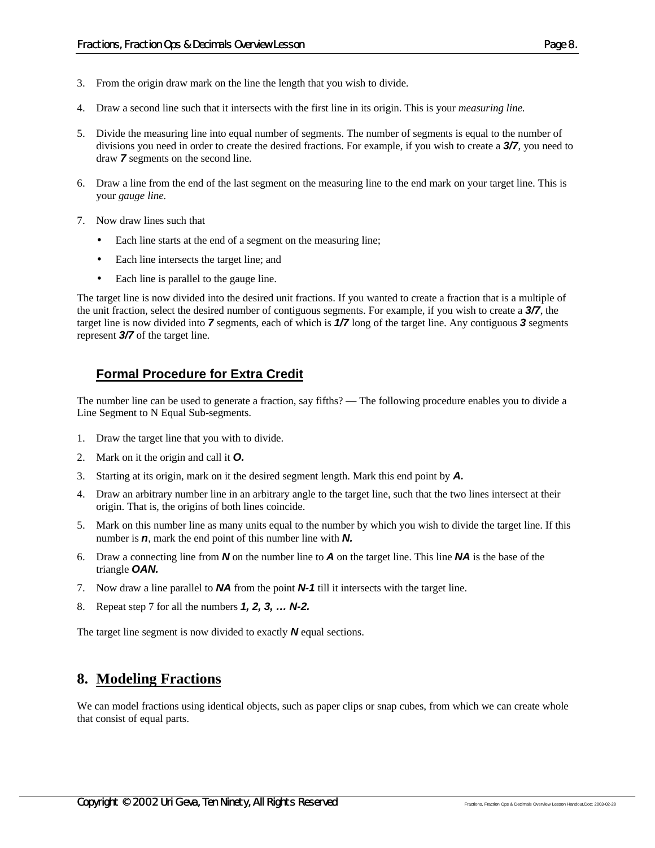- 3. From the origin draw mark on the line the length that you wish to divide.
- 4. Draw a second line such that it intersects with the first line in its origin. This is your *measuring line.*
- 5. Divide the measuring line into equal number of segments. The number of segments is equal to the number of divisions you need in order to create the desired fractions. For example, if you wish to create a *3/7*, you need to draw *7* segments on the second line.
- 6. Draw a line from the end of the last segment on the measuring line to the end mark on your target line. This is your *gauge line.*
- 7. Now draw lines such that
	- Each line starts at the end of a segment on the measuring line;
	- Each line intersects the target line; and
	- Each line is parallel to the gauge line.

The target line is now divided into the desired unit fractions. If you wanted to create a fraction that is a multiple of the unit fraction, select the desired number of contiguous segments. For example, if you wish to create a *3/7*, the target line is now divided into *7* segments, each of which is *1/7* long of the target line. Any contiguous *3* segments represent *3/7* of the target line.

#### **Formal Procedure for Extra Credit**

The number line can be used to generate a fraction, say fifths? — The following procedure enables you to divide a Line Segment to N Equal Sub-segments.

- 1. Draw the target line that you with to divide.
- 2. Mark on it the origin and call it *O.*
- 3. Starting at its origin, mark on it the desired segment length. Mark this end point by *A.*
- 4. Draw an arbitrary number line in an arbitrary angle to the target line, such that the two lines intersect at their origin. That is, the origins of both lines coincide.
- 5. Mark on this number line as many units equal to the number by which you wish to divide the target line. If this number is *n*, mark the end point of this number line with *N.*
- 6. Draw a connecting line from *N* on the number line to *A* on the target line. This line *NA* is the base of the triangle *OAN.*
- 7. Now draw a line parallel to *NA* from the point *N-1* till it intersects with the target line.
- 8. Repeat step 7 for all the numbers *1, 2, 3, … N-2.*

The target line segment is now divided to exactly *N* equal sections.

# **8. Modeling Fractions**

We can model fractions using identical objects, such as paper clips or snap cubes, from which we can create whole that consist of equal parts.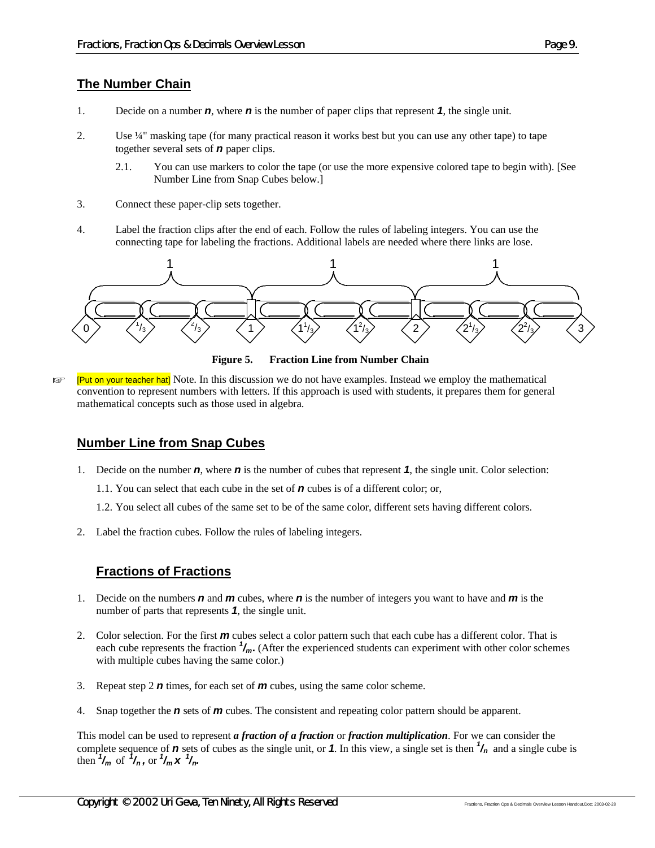# **The Number Chain**

- 1. Decide on a number *n*, where *n* is the number of paper clips that represent *1*, the single unit.
- 2. Use ¼" masking tape (for many practical reason it works best but you can use any other tape) to tape together several sets of *n* paper clips.
	- 2.1. You can use markers to color the tape (or use the more expensive colored tape to begin with). [See Number Line from Snap Cubes below.]
- 3. Connect these paper-clip sets together.
- 4. Label the fraction clips after the end of each. Follow the rules of labeling integers. You can use the connecting tape for labeling the fractions. Additional labels are needed where there links are lose.



**Figure 5. Fraction Line from Number Chain**

**Exampler** [Put on your teacher hat] Note. In this discussion we do not have examples. Instead we employ the mathematical convention to represent numbers with letters. If this approach is used with students, it prepares them for general mathematical concepts such as those used in algebra.

#### **Number Line from Snap Cubes**

- 1. Decide on the number *n*, where *n* is the number of cubes that represent *1*, the single unit. Color selection:
	- 1.1. You can select that each cube in the set of *n* cubes is of a different color; or,
	- 1.2. You select all cubes of the same set to be of the same color, different sets having different colors.
- 2. Label the fraction cubes. Follow the rules of labeling integers.

# **Fractions of Fractions**

- 1. Decide on the numbers *n* and *m* cubes, where *n* is the number of integers you want to have and *m* is the number of parts that represents *1*, the single unit.
- 2. Color selection. For the first *m* cubes select a color pattern such that each cube has a different color. That is each cube represents the fraction  $\frac{1}{m}$ . (After the experienced students can experiment with other color schemes with multiple cubes having the same color.)
- 3. Repeat step 2 *n* times, for each set of *m* cubes, using the same color scheme.
- 4. Snap together the *n* sets of *m* cubes. The consistent and repeating color pattern should be apparent.

This model can be used to represent *a fraction of a fraction* or *fraction multiplication*. For we can consider the complete sequence of  $\bm{n}$  sets of cubes as the single unit, or  $\bm{\hat{1}}$ . In this view, a single set is then  $\frac{1}{n}$  and a single cube is then  $\frac{1}{2}$  /*m* of  $\frac{1}{2}$ /*n*, or  $\frac{1}{2}$ /*m*  $\frac{1}{2}$  /*n*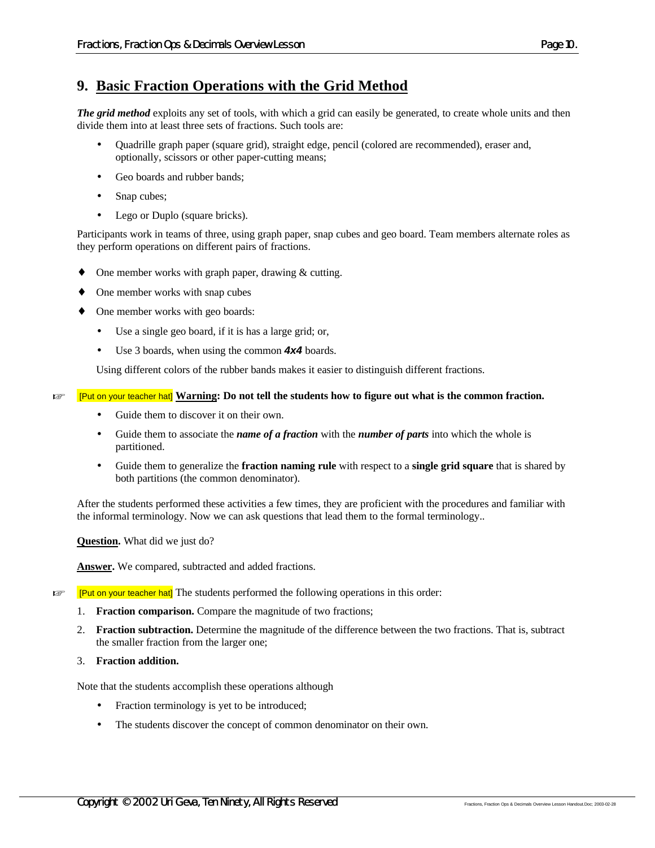# **9. Basic Fraction Operations with the Grid Method**

*The grid method* exploits any set of tools, with which a grid can easily be generated, to create whole units and then divide them into at least three sets of fractions. Such tools are:

- Quadrille graph paper (square grid), straight edge, pencil (colored are recommended), eraser and, optionally, scissors or other paper-cutting means;
- Geo boards and rubber bands;
- Snap cubes;
- Lego or Duplo (square bricks).

Participants work in teams of three, using graph paper, snap cubes and geo board. Team members alternate roles as they perform operations on different pairs of fractions.

- One member works with graph paper, drawing  $&$  cutting.
- One member works with snap cubes
- ♦ One member works with geo boards:
	- Use a single geo board, if it is has a large grid; or,
	- Use 3 boards, when using the common *4x4* boards.

Using different colors of the rubber bands makes it easier to distinguish different fractions.

#### **K [Put on your teacher hat] Warning: Do not tell the students how to figure out what is the common fraction.**

- Guide them to discover it on their own.
- Guide them to associate the *name of a fraction* with the *number of parts* into which the whole is partitioned.
- Guide them to generalize the **fraction naming rule** with respect to a **single grid square** that is shared by both partitions (the common denominator).

After the students performed these activities a few times, they are proficient with the procedures and familiar with the informal terminology. Now we can ask questions that lead them to the formal terminology..

**Question.** What did we just do?

**Answer.** We compared, subtracted and added fractions.

**FRUT ON YOUT THE START THE START CONSTRANT IS EXAMPLE THE START OF THE START THE START THE START THE START THE START START THE START THE START THE START THE START THE START THE START THE START THE START THE START THE STAR** 

- 1. **Fraction comparison.** Compare the magnitude of two fractions;
- 2. **Fraction subtraction.** Determine the magnitude of the difference between the two fractions. That is, subtract the smaller fraction from the larger one;
- 3. **Fraction addition.**

Note that the students accomplish these operations although

- Fraction terminology is yet to be introduced;
- The students discover the concept of common denominator on their own.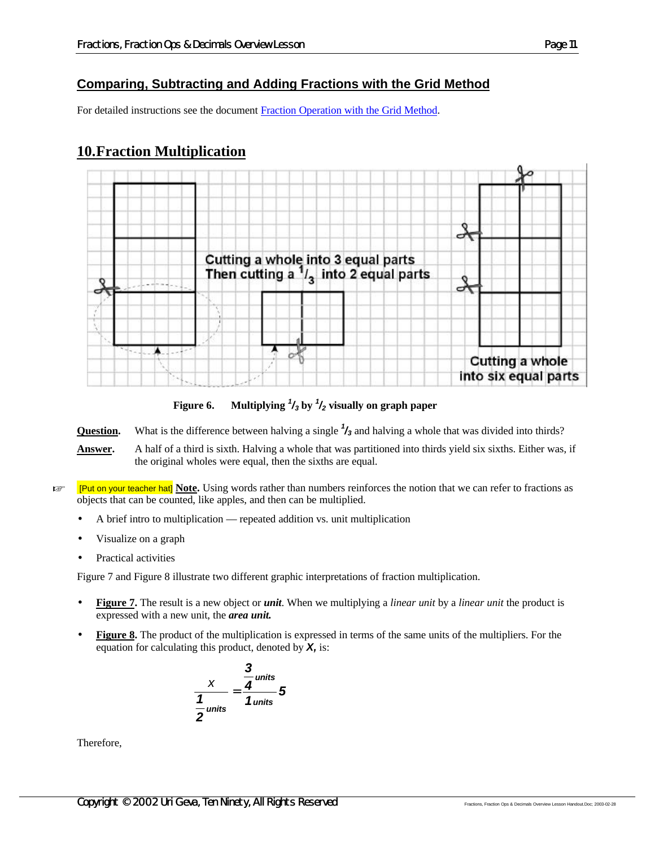# **Comparing, Subtracting and Adding Fractions with the Grid Method**

For detailed instructions see the document Fraction Operation with the Grid Method.

# **10.Fraction Multiplication**



**Figure 6. Multiplying** *<sup>1</sup> /3* **by** *<sup>1</sup> /2* **visually on graph paper**

**Question.** What is the difference between halving a single *<sup>1</sup> /3* and halving a whole that was divided into thirds?

- **Answer.** A half of a third is sixth. Halving a whole that was partitioned into thirds yield six sixths. Either was, if the original wholes were equal, then the sixths are equal.
- **Example 1 Put on your teacher hat] Note.** Using words rather than numbers reinforces the notion that we can refer to fractions as objects that can be counted, like apples, and then can be multiplied.
	- A brief intro to multiplication repeated addition vs. unit multiplication
	- Visualize on a graph
	- Practical activities

Figure 7 and Figure 8 illustrate two different graphic interpretations of fraction multiplication.

- **Figure 7.** The result is a new object or *unit*. When we multiplying a *linear unit* by a *linear unit* the product is expressed with a new unit, the *area unit.*
- **Figure 8.** The product of the multiplication is expressed in terms of the same units of the multipliers. For the equation for calculating this product, denoted by *X,* is:

$$
\frac{x}{\frac{1}{2} \text{units}} = \frac{\frac{3}{4} \text{units}}{1 \text{units}} = 5
$$

Therefore,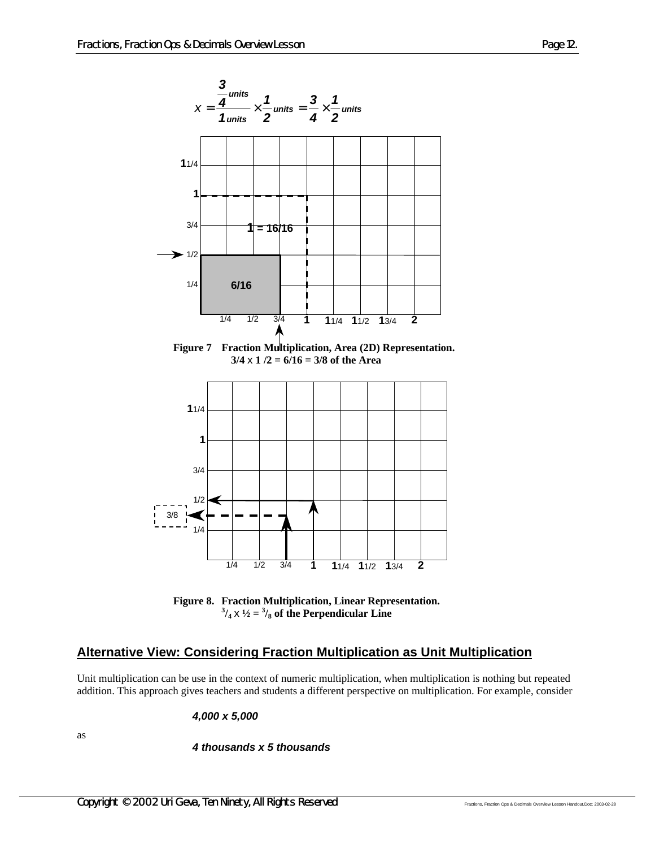

**Figure 7 Fraction Multiplication, Area (2D) Representation. 3/4** x **1 /2 = 6/16 = 3/8 of the Area**



**Figure 8. Fraction Multiplication, Linear Representation.**  $^{3}/_{4}$  x  $^{1}/_{2}$  =  $^{3}/_{8}$  of the Perpendicular Line

#### **Alternative View: Considering Fraction Multiplication as Unit Multiplication**

Unit multiplication can be use in the context of numeric multiplication, when multiplication is nothing but repeated addition. This approach gives teachers and students a different perspective on multiplication. For example, consider

*4,000 x 5,000*

as

*4 thousands x 5 thousands*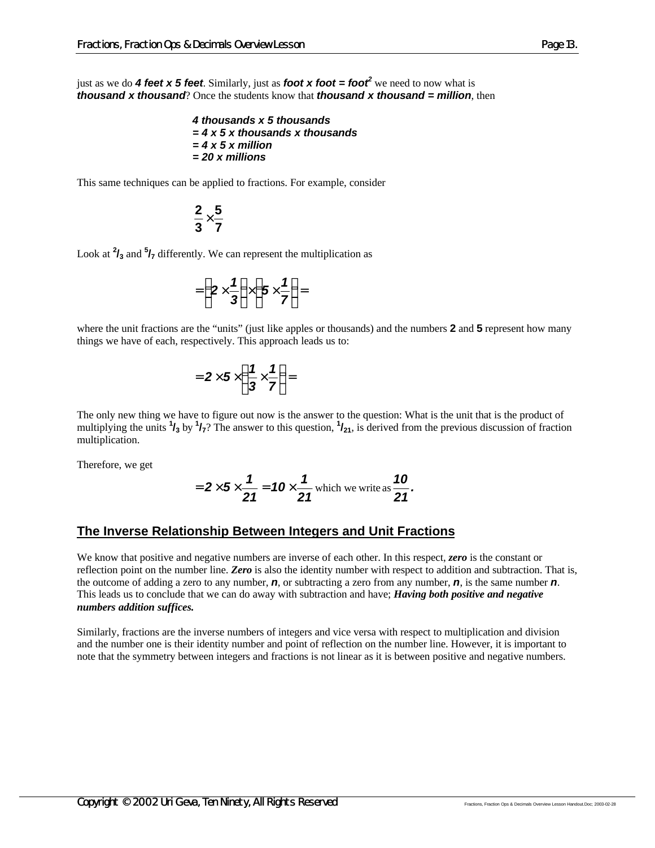just as we do *4 feet x 5 feet*. Similarly, just as *foot x foot = foot<sup>2</sup>* we need to now what is *thousand x thousand*? Once the students know that *thousand x thousand = million*, then

> *4 thousands x 5 thousands = 4 x 5 x thousands x thousands = 4 x 5 x million = 20 x millions*

This same techniques can be applied to fractions. For example, consider

$$
\frac{2}{3}{\times}\frac{5}{7}
$$

Look at **<sup>2</sup> /3** and **<sup>5</sup> /7** differently. We can represent the multiplication as

$$
=\left(2\times\frac{1}{3}\right)\times\left(5\times\frac{1}{7}\right)=
$$

where the unit fractions are the "units" (just like apples or thousands) and the numbers **2** and **5** represent how many things we have of each, respectively. This approach leads us to:

$$
=2\times 5\times \left(\frac{1}{3}\times\frac{1}{7}\right)=
$$

The only new thing we have to figure out now is the answer to the question: What is the unit that is the product of multiplying the units  $\frac{1}{3}$  by  $\frac{1}{7}$ ? The answer to this question,  $\frac{1}{21}$ , is derived from the previous discussion of fraction multiplication.

Therefore, we get

$$
=2\times5\times\frac{1}{21}=10\times\frac{1}{21}
$$
 which we write as  $\frac{10}{21}$ .

#### **The Inverse Relationship Between Integers and Unit Fractions**

We know that positive and negative numbers are inverse of each other. In this respect, *zero* is the constant or reflection point on the number line. *Zero* is also the identity number with respect to addition and subtraction. That is, the outcome of adding a zero to any number, *n*, or subtracting a zero from any number, *n*, is the same number *n*. This leads us to conclude that we can do away with subtraction and have; *Having both positive and negative numbers addition suffices.*

Similarly, fractions are the inverse numbers of integers and vice versa with respect to multiplication and division and the number one is their identity number and point of reflection on the number line. However, it is important to note that the symmetry between integers and fractions is not linear as it is between positive and negative numbers.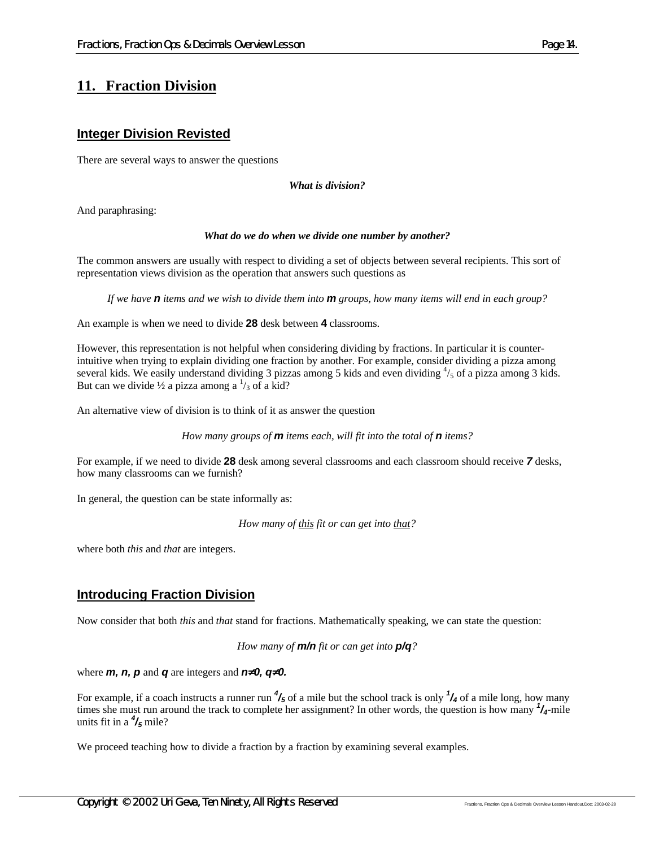# **11. Fraction Division**

#### **Integer Division Revisted**

There are several ways to answer the questions

*What is division?*

And paraphrasing:

#### *What do we do when we divide one number by another?*

The common answers are usually with respect to dividing a set of objects between several recipients. This sort of representation views division as the operation that answers such questions as

*If we have n items and we wish to divide them into m groups, how many items will end in each group?*

An example is when we need to divide **28** desk between **4** classrooms.

However, this representation is not helpful when considering dividing by fractions. In particular it is counterintuitive when trying to explain dividing one fraction by another. For example, consider dividing a pizza among several kids. We easily understand dividing 3 pizzas among 5 kids and even dividing  $\frac{4}{5}$  of a pizza among 3 kids. But can we divide  $\frac{1}{2}$  a pizza among a  $\frac{1}{3}$  of a kid?

An alternative view of division is to think of it as answer the question

*How many groups of m items each, will fit into the total of n items?*

For example, if we need to divide **28** desk among several classrooms and each classroom should receive *7* desks, how many classrooms can we furnish?

In general, the question can be state informally as:

*How many of this fit or can get into that?*

where both *this* and *that* are integers.

#### **Introducing Fraction Division**

Now consider that both *this* and *that* stand for fractions. Mathematically speaking, we can state the question:

*How many of m/n fit or can get into p/q?*

where  $m$ ,  $n$ ,  $p$  and  $q$  are integers and  $n^20$ ,  $q^20$ .

For example, if a coach instructs a runner run *<sup>4</sup> /5* of a mile but the school track is only *<sup>1</sup> /4* of a mile long, how many times she must run around the track to complete her assignment? In other words, the question is how many *<sup>1</sup> /4*-mile units fit in a *<sup>4</sup> /5* mile?

We proceed teaching how to divide a fraction by a fraction by examining several examples.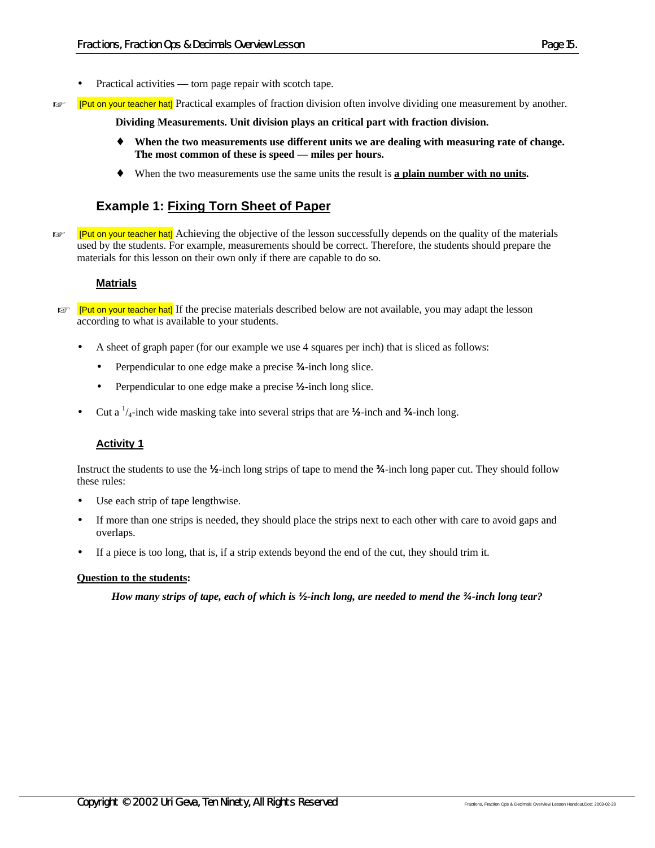- Practical activities torn page repair with scotch tape.
- **Examples Examples** is examples of fraction division often involve dividing one measurement by another.

**Dividing Measurements. Unit division plays an critical part with fraction division.**

- ♦ **When the two measurements use different units we are dealing with measuring rate of change. The most common of these is speed — miles per hours.**
- ♦ When the two measurements use the same units the result is **a plain number with no units.**

# **Example 1: Fixing Torn Sheet of Paper**

**Example 19 EV 12** [Put on your teacher hat] Achieving the objective of the lesson successfully depends on the quality of the materials used by the students. For example, measurements should be correct. Therefore, the students should prepare the materials for this lesson on their own only if there are capable to do so.

#### **Matrials**

- $E \equiv$  [Put on your teacher hat] If the precise materials described below are not available, you may adapt the lesson according to what is available to your students.
	- A sheet of graph paper (for our example we use 4 squares per inch) that is sliced as follows:
		- Perpendicular to one edge make a precise **¾**-inch long slice.
		- Perpendicular to one edge make a precise **½**-inch long slice.
	- Cut a <sup>1</sup> /4-inch wide masking take into several strips that are **½**-inch and **¾**-inch long.

#### **Activity 1**

Instruct the students to use the **½**-inch long strips of tape to mend the **¾**-inch long paper cut. They should follow these rules:

- Use each strip of tape lengthwise.
- If more than one strips is needed, they should place the strips next to each other with care to avoid gaps and overlaps.
- If a piece is too long, that is, if a strip extends beyond the end of the cut, they should trim it.

#### **Question to the students:**

*How many strips of tape, each of which is ½-inch long, are needed to mend the ¾-inch long tear?*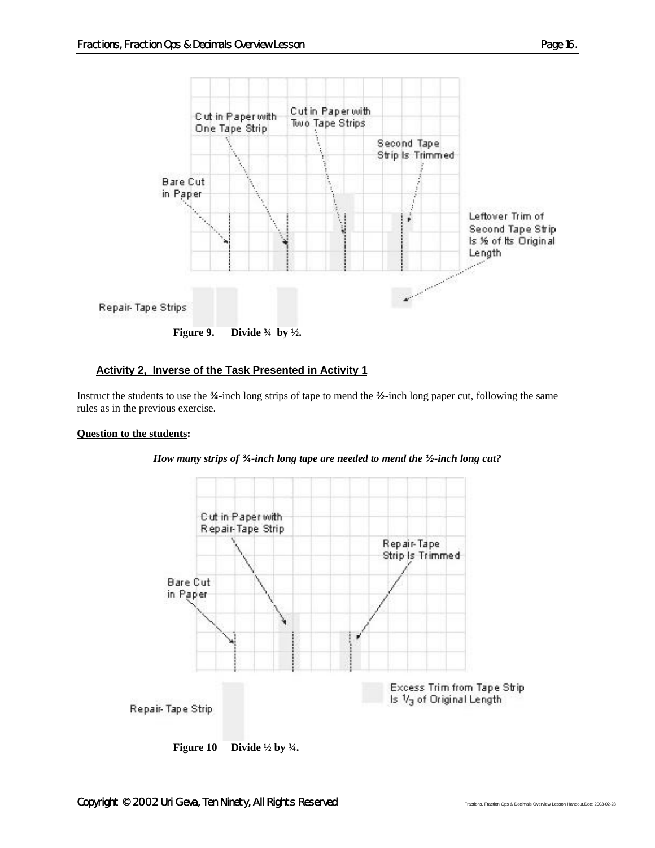

#### **Activity 2, Inverse of the Task Presented in Activity 1**

Instruct the students to use the *¾*-inch long strips of tape to mend the *½*-inch long paper cut, following the same rules as in the previous exercise.

#### **Question to the students:**



*How many strips of ¾-inch long tape are needed to mend the ½-inch long cut?*

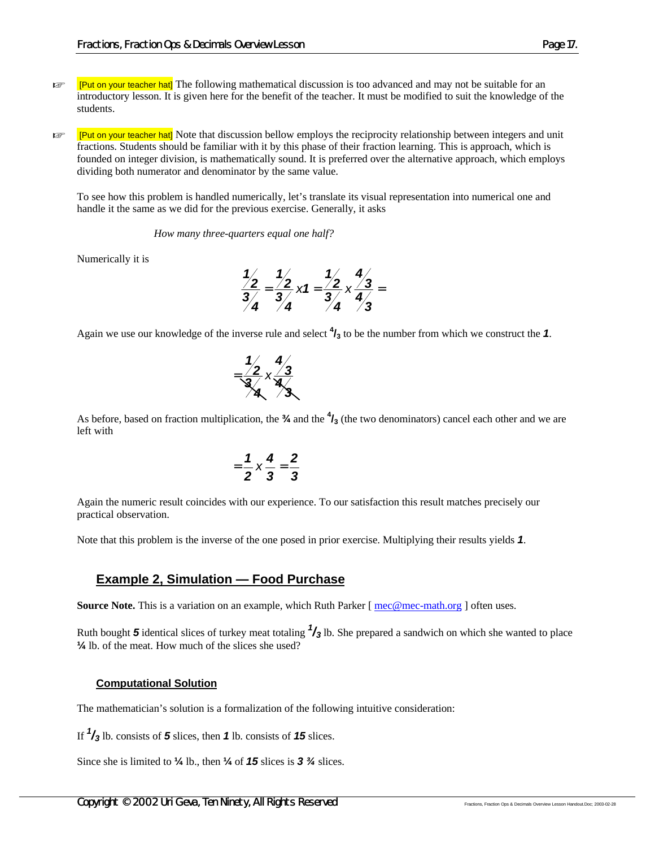- **Example 1Put on your teacher hat]** The following mathematical discussion is too advanced and may not be suitable for an introductory lesson. It is given here for the benefit of the teacher. It must be modified to suit the knowledge of the students.
- For Fut on your teacher hat] Note that discussion bellow employs the reciprocity relationship between integers and unit fractions. Students should be familiar with it by this phase of their fraction learning. This is approach, which is founded on integer division, is mathematically sound. It is preferred over the alternative approach, which employs dividing both numerator and denominator by the same value.

To see how this problem is handled numerically, let's translate its visual representation into numerical one and handle it the same as we did for the previous exercise. Generally, it asks

*How many three-quarters equal one half?*

Numerically it is

$$
\frac{\frac{1}{2}}{\frac{3}{4}} = \frac{\frac{1}{2}}{\frac{3}{4}} \times 1 = \frac{\frac{1}{2}}{\frac{3}{4}} \times \frac{\frac{4}{3}}{\frac{4}{3}} =
$$

Again we use our knowledge of the inverse rule and select **<sup>4</sup> /3** to be the number from which we construct the *1*.

$$
=\frac{\frac{1}{2}}{\frac{3}{4}} \times \frac{\frac{4}{3}}{\frac{4}{3}}
$$

As before, based on fraction multiplication, the **¾** and the **<sup>4</sup> /3** (the two denominators) cancel each other and we are left with

$$
=\frac{1}{2}\times\frac{4}{3}=\frac{2}{3}
$$

Again the numeric result coincides with our experience. To our satisfaction this result matches precisely our practical observation.

Note that this problem is the inverse of the one posed in prior exercise. Multiplying their results yields *1*.

#### **Example 2, Simulation — Food Purchase**

**Source Note.** This is a variation on an example, which Ruth Parker [ $\text{mec@mec-math.org}$  ] often uses.

Ruth bought *5* identical slices of turkey meat totaling *<sup>1</sup> /3* lb. She prepared a sandwich on which she wanted to place **¼** lb. of the meat. How much of the slices she used?

#### **Computational Solution**

The mathematician's solution is a formalization of the following intuitive consideration:

If *1 /3* lb. consists of *5* slices, then *1* lb. consists of *15* slices.

Since she is limited to **¼** lb., then **¼** of *15* slices is *3 ¾* slices.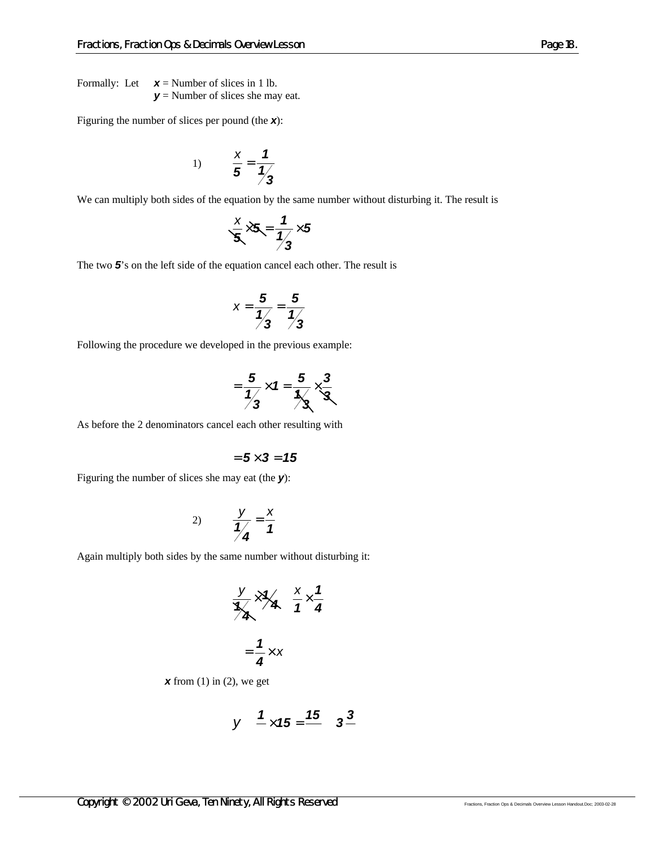Formally: Let  $\mathbf{x} =$  Number of slices in 1 lb. *y* = Number of slices she may eat.

Figuring the number of slices per pound (the *x*):

1) 
$$
\frac{x}{5} = \frac{1}{\frac{1}{3}}
$$

We can multiply both sides of the equation by the same number without disturbing it. The result is

$$
\frac{x}{3} \times 5 = \frac{1}{\frac{1}{3}} \times 5
$$

The two *5*'s on the left side of the equation cancel each other. The result is

$$
x=\frac{5}{1/3}=\frac{5}{1/3}
$$

Following the procedure we developed in the previous example:

$$
=\frac{5}{\frac{1}{3}}\times 1=\frac{5}{\frac{1}{3}}\times \frac{3}{3}
$$

As before the 2 denominators cancel each other resulting with

$$
= 5 \times 3 = 15
$$

Figuring the number of slices she may eat (the *y*):

$$
2) \qquad \frac{y}{1/4} = \frac{x}{1/4}
$$

Again multiply both sides by the same number without disturbing it:

$$
\frac{y}{x} \times \frac{y}{4} \quad \frac{x}{1} \times \frac{1}{4}
$$

$$
= \frac{1}{4} \times x
$$

*x* from (1) in (2), we get

$$
y \quad \frac{1}{-} \times 15 = \frac{15}{-} \quad 3\frac{3}{-}
$$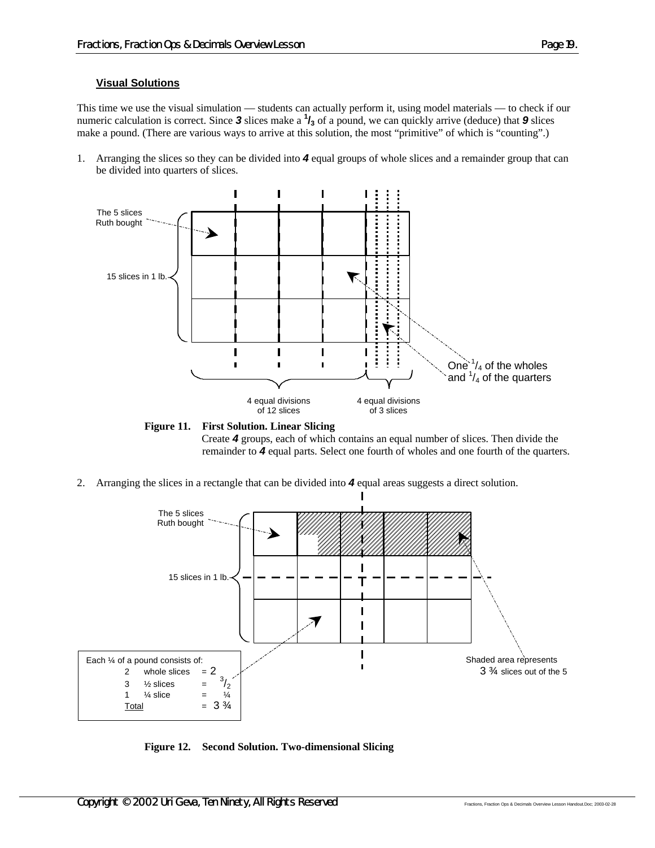#### **Visual Solutions**

This time we use the visual simulation — students can actually perform it, using model materials — to check if our numeric calculation is correct. Since  $3$  slices make a  $\frac{1}{3}$  of a pound, we can quickly arrive (deduce) that  $9$  slices make a pound. (There are various ways to arrive at this solution, the most "primitive" of which is "counting".)

1. Arranging the slices so they can be divided into *4* equal groups of whole slices and a remainder group that can be divided into quarters of slices.



**Figure 11. First Solution. Linear Slicing** Create *4* groups, each of which contains an equal number of slices. Then divide the remainder to *4* equal parts. Select one fourth of wholes and one fourth of the quarters.

2. Arranging the slices in a rectangle that can be divided into *4* equal areas suggests a direct solution.



**Figure 12. Second Solution. Two-dimensional Slicing**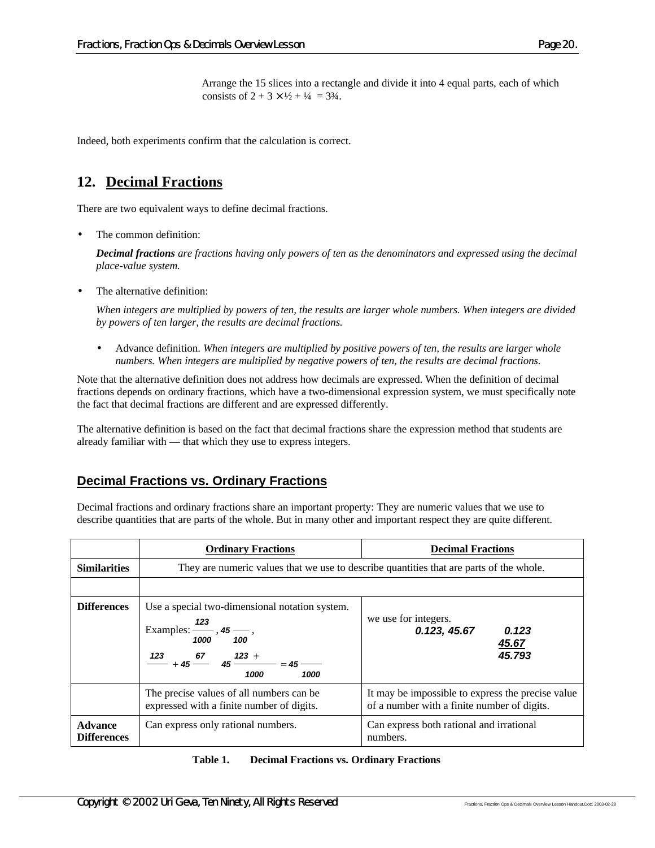Arrange the 15 slices into a rectangle and divide it into 4 equal parts, each of which consists of  $2 + 3 \times \frac{1}{2} + \frac{1}{4} = 3\frac{3}{4}$ .

Indeed, both experiments confirm that the calculation is correct.

# **12. Decimal Fractions**

There are two equivalent ways to define decimal fractions.

The common definition:

*Decimal fractions are fractions having only powers of ten as the denominators and expressed using the decimal place-value system.*

The alternative definition:

*When integers are multiplied by powers of ten, the results are larger whole numbers. When integers are divided by powers of ten larger, the results are decimal fractions.*

• Advance definition. *When integers are multiplied by positive powers of ten, the results are larger whole numbers. When integers are multiplied by negative powers of ten, the results are decimal fractions.*

Note that the alternative definition does not address how decimals are expressed. When the definition of decimal fractions depends on ordinary fractions, which have a two-dimensional expression system, we must specifically note the fact that decimal fractions are different and are expressed differently.

The alternative definition is based on the fact that decimal fractions share the expression method that students are already familiar with — that which they use to express integers.

# **Decimal Fractions vs. Ordinary Fractions**

Decimal fractions and ordinary fractions share an important property: They are numeric values that we use to describe quantities that are parts of the whole. But in many other and important respect they are quite different.

|                                      | <b>Ordinary Fractions</b>                                                                                                                                                                                                                                                                                                                                                                         | <b>Decimal Fractions</b>                                                                         |  |  |
|--------------------------------------|---------------------------------------------------------------------------------------------------------------------------------------------------------------------------------------------------------------------------------------------------------------------------------------------------------------------------------------------------------------------------------------------------|--------------------------------------------------------------------------------------------------|--|--|
| <b>Similarities</b>                  | They are numeric values that we use to describe quantities that are parts of the whole.                                                                                                                                                                                                                                                                                                           |                                                                                                  |  |  |
|                                      |                                                                                                                                                                                                                                                                                                                                                                                                   |                                                                                                  |  |  |
| <b>Differences</b>                   | Use a special two-dimensional notation system.<br>Examples: $\frac{123}{12}$ , 45<br>1000<br>100<br>$\frac{123}{123}$ + 45 $\frac{67}{123}$ + 45 $\frac{123}{123}$ + 45 $\frac{123}{123}$ + 45 $\frac{123}{123}$ + 45 $\frac{123}{123}$ + 45 $\frac{123}{123}$ + 45 $\frac{123}{123}$ + 45 $\frac{123}{123}$ + 45 $\frac{123}{123}$ + 45 $\frac{123}{123}$ + 45 $\frac{123}{123}$<br>1000<br>1000 | we use for integers.<br>0.123, 45.67<br>0.123<br>45.67<br>45.793                                 |  |  |
|                                      | The precise values of all numbers can be.<br>expressed with a finite number of digits.                                                                                                                                                                                                                                                                                                            | It may be impossible to express the precise value<br>of a number with a finite number of digits. |  |  |
| <b>Advance</b><br><b>Differences</b> | Can express only rational numbers.                                                                                                                                                                                                                                                                                                                                                                | Can express both rational and irrational<br>numbers.                                             |  |  |

| Table 1. | <b>Decimal Fractions vs. Ordinary Fractions</b> |  |  |
|----------|-------------------------------------------------|--|--|
|----------|-------------------------------------------------|--|--|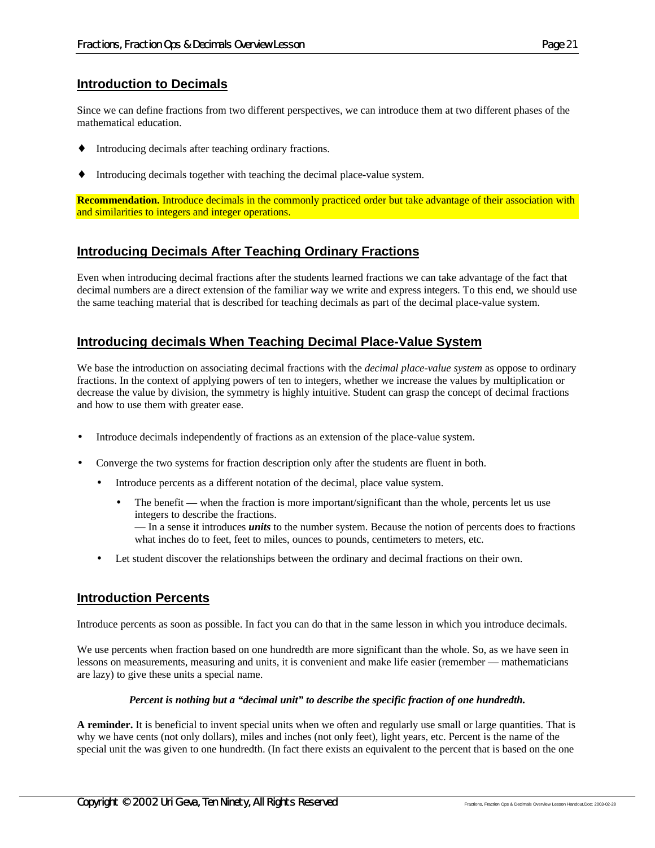#### **Introduction to Decimals**

Since we can define fractions from two different perspectives, we can introduce them at two different phases of the mathematical education.

- Introducing decimals after teaching ordinary fractions.
- Introducing decimals together with teaching the decimal place-value system.

**Recommendation.** Introduce decimals in the commonly practiced order but take advantage of their association with and similarities to integers and integer operations.

#### **Introducing Decimals After Teaching Ordinary Fractions**

Even when introducing decimal fractions after the students learned fractions we can take advantage of the fact that decimal numbers are a direct extension of the familiar way we write and express integers. To this end, we should use the same teaching material that is described for teaching decimals as part of the decimal place-value system.

#### **Introducing decimals When Teaching Decimal Place-Value System**

We base the introduction on associating decimal fractions with the *decimal place-value system* as oppose to ordinary fractions. In the context of applying powers of ten to integers, whether we increase the values by multiplication or decrease the value by division, the symmetry is highly intuitive. Student can grasp the concept of decimal fractions and how to use them with greater ease.

- Introduce decimals independently of fractions as an extension of the place-value system.
- Converge the two systems for fraction description only after the students are fluent in both.
	- Introduce percents as a different notation of the decimal, place value system.
		- The benefit when the fraction is more important/significant than the whole, percents let us use integers to describe the fractions. — In a sense it introduces *units* to the number system. Because the notion of percents does to fractions what inches do to feet, feet to miles, ounces to pounds, centimeters to meters, etc.
	- Let student discover the relationships between the ordinary and decimal fractions on their own.

#### **Introduction Percents**

Introduce percents as soon as possible. In fact you can do that in the same lesson in which you introduce decimals.

We use percents when fraction based on one hundredth are more significant than the whole. So, as we have seen in lessons on measurements, measuring and units, it is convenient and make life easier (remember — mathematicians are lazy) to give these units a special name.

#### *Percent is nothing but a "decimal unit" to describe the specific fraction of one hundredth.*

**A reminder.** It is beneficial to invent special units when we often and regularly use small or large quantities. That is why we have cents (not only dollars), miles and inches (not only feet), light years, etc. Percent is the name of the special unit the was given to one hundredth. (In fact there exists an equivalent to the percent that is based on the one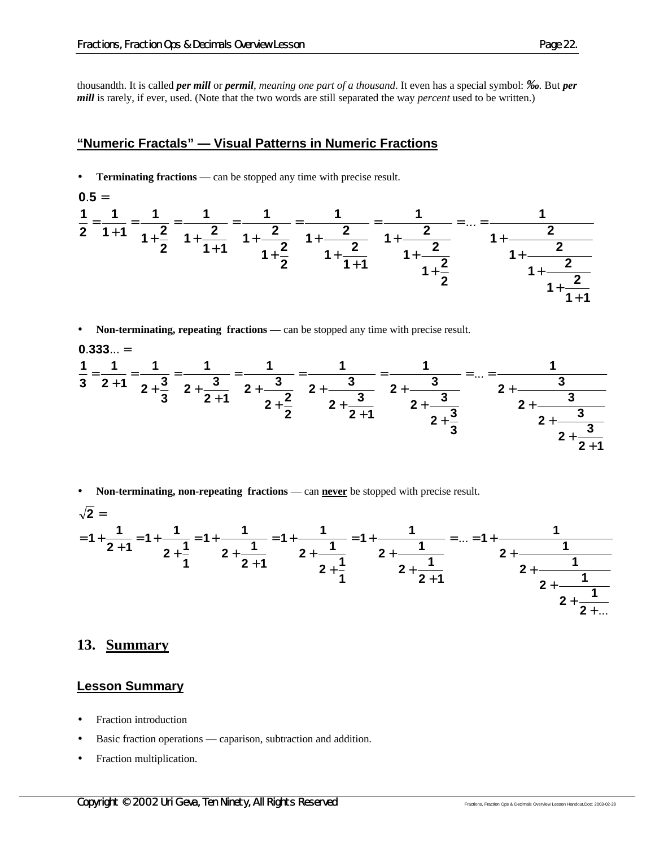thousandth. It is called *per mill* or *permil*, *meaning one part of a thousand*. It even has a special symbol: *‰*. But *per mill* is rarely, if ever, used. (Note that the two words are still separated the way *percent* used to be written.)

#### **"Numeric Fractals" — Visual Patterns in Numeric Fractions**

**Terminating fractions** — can be stopped any time with precise result.

$$
0.5 = \frac{1}{2} = \frac{1}{1+1} = \frac{1}{1+\frac{2}{2}} = \frac{1}{1+\frac{2}{1+1}} = \frac{1}{1+\frac{2}{1+\frac{2}{2}}} = \frac{1}{1+\frac{2}{1+\frac{2}{1+1}}} = \frac{1}{1+\frac{2}{1+\frac{2}{1+\frac{2}{2}}}} = ... = \frac{1}{1+\frac{2}{1+\frac{2}{1+\frac{2}{1+\frac{2}{1+\frac{2}{1+\frac{2}{1+\frac{2}{1+\frac{2}{1+\frac{2}{1+\frac{2}{1+\frac{2}{1+\frac{2}{1+\frac{2}{1+\frac{2}{1+\frac{2}{1+\frac{2}{1+\frac{2}{1+\frac{2}{1+\frac{2}{1+\frac{2}{1+\frac{2}{1+\frac{2}{1+\frac{2}{1+\frac{2}{1+\frac{2}{1+\frac{2}{1+\frac{2}{1+\frac{2}{1+\frac{2}{1+\frac{2}{1+\frac{2}{1+\frac{2}{1+\frac{2}{1+\frac{2}{1+\frac{2}{1+\frac{2}{1+\frac{2}{1+\frac{2}{1+\frac{2}{1+\frac{2}{1+\frac{2}{1+\frac{2}{1+\frac{2}{1+\frac{2}{1+\frac{2}{1+\frac{2}{1+\frac{2}{1+\frac{2}{1+\frac{2}{1+\frac{2}{1+\frac{2}{1+\frac{2}{1+\frac{2}{1+\frac{2}{1+\frac{2}{1+\frac{2}{1+\frac{2}{1+\frac{2}{1+\frac{2}{1+\frac{2}{1+\frac{2}{1+\frac{2}{1+\frac{2}{1+\frac{2}{1+\frac{2}{1+\frac{2}{1+\frac{2}{1+\frac{2}{1+\frac{2}{1+\frac{2}{1+\frac{2}{1+\frac{2}{1+\frac{2}{1+\frac{2}{1+\frac{2}{1+\frac{2}{1+\frac{2}{1+\frac{2}{1+\frac{2}{1+\frac{2}{1+\frac{2}{1+\frac{2}{1+\frac{2}{1+\frac{2}{1+\frac{2}{1+\frac{2}{1+\frac{2}{1+\frac{2}{1+\frac{2}{1+\frac{2}{1+\frac{2}{1+\frac{2}{1+\frac{2}{1+\frac{2}{1+\frac{2}{1+\frac{2}{1+\frac{2}{1+\frac{2}{1+\frac{2}{1+\frac{2}{1+\frac{2}{1+\frac{2}{1+\frac{2}{1+\frac{2}{1+\frac{2}{1
$$

• **Non-terminating, repeating fractions** — can be stopped any time with precise result.

$$
0.333... =
$$
\n
$$
\frac{1}{3} = \frac{1}{2+1} = \frac{1}{2+1} = \frac{1}{2+1} = \frac{1}{2+1} = \frac{1}{2+1} = \frac{1}{2+1} = \frac{1}{2+1} = \frac{1}{2+1} = \frac{1}{2+1} = \frac{1}{2+1} = \frac{1}{2+1} = \frac{1}{2+1} = \frac{1}{2+1} = \frac{1}{2+1} = \frac{1}{2+1} = \frac{1}{2+1} = \frac{1}{2+1} = \frac{1}{2+1} = \frac{1}{2+1} = \frac{1}{2+1} = \frac{1}{2+1} = \frac{1}{2+1} = \frac{1}{2+1} = \frac{1}{2+1} = \frac{1}{2+1} = \frac{1}{2+1} = \frac{1}{2+1} = \frac{1}{2+1} = \frac{1}{2+1} = \frac{1}{2+1} = \frac{1}{2+1} = \frac{1}{2+1} = \frac{1}{2+1} = \frac{1}{2+1} = \frac{1}{2+1} = \frac{1}{2+1} = \frac{1}{2+1} = \frac{1}{2+1} = \frac{1}{2+1} = \frac{1}{2+1} = \frac{1}{2+1} = \frac{1}{2+1} = \frac{1}{2+1} = \frac{1}{2+1} = \frac{1}{2+1} = \frac{1}{2+1} = \frac{1}{2+1} = \frac{1}{2+1} = \frac{1}{2+1} = \frac{1}{2+1} = \frac{1}{2+1} = \frac{1}{2+1} = \frac{1}{2+1} = \frac{1}{2+1} = \frac{1}{2+1} = \frac{1}{2+1} = \frac{1}{2+1} = \frac{1}{2+1} = \frac{1}{2+1} = \frac{1}{2+1} = \frac{1}{2+1} = \frac{1}{2+1} = \frac{1}{2+1} = \frac{1}{2+1} = \frac{1}{2+1} = \frac{1}{2+1} = \frac{1}{2+1} = \frac{1}{2+1} = \frac{1}{2+1} = \frac{1}{2+1} = \frac{1}{2+1} = \frac{1}{2+1} = \frac{1}{2+1} = \frac{1}{
$$

• **Non-terminating, non-repeating fractions** — can **never** be stopped with precise result.

**2**

$$
\sqrt{2} =
$$
\n
$$
= 1 + \frac{1}{2+1} = 1 + \frac{1}{2+\frac{1}{1}} = 1 + \frac{1}{2+\frac{1}{2+1}} = 1 + \frac{1}{2+\frac{1}{2+\frac{1}{1}}} = 1 + \frac{1}{2+\frac{1}{2+\frac{1}{2+\frac{1}{2}}}} = ... = 1 + \frac{1}{2+\frac{1}{2+\frac{1}{2+\frac{1}{2+\frac{1}{2+\frac{1}{2+\frac{1}{2+\frac{1}{2+\frac{1}{2+\frac{1}{2+\frac{1}{2+\frac{1}{2+\frac{1}{2+\frac{1}{2+\frac{1}{2+\frac{1}{2+\frac{1}{2+\frac{1}{2+\frac{1}{2+\frac{1}{2+\frac{1}{2+\frac{1}{2+\frac{1}{2+\frac{1}{2+\frac{1}{2+\frac{1}{2+\frac{1}{2+\frac{1}{2+\frac{1}{2+\frac{1}{2+\frac{1}{2+\frac{1}{2+\frac{1}{2+\frac{1}{2+\frac{1}{2+\frac{1}{2+\frac{1}{2+\frac{1}{2+\frac{1}{2+\frac{1}{2+\frac{1}{2+\frac{1}{2+\frac{1}{2+\frac{1}{2+\frac{1}{2+\frac{1}{2+\frac{1}{2+\frac{1}{2+\frac{1}{2+\frac{1}{2+\frac{1}{2+\frac{1}{2+\frac{1}{2+\frac{1}{2+\frac{1}{2+\frac{1}{2+\frac{1}{2+\frac{1}{2+\frac{1}{2+\frac{1}{2+\frac{1}{2+\frac{1}{2+\frac{1}{2+\frac{1}{2+\frac{1}{2+\frac{1}{2+\frac{1}{2+\frac{1}{2+\frac{1}{2+\frac{1}{2+\frac{1}{2+\frac{1}{2+\frac{1}{2+\frac{1}{2+\frac{1}{2+\frac{1}{2+\frac{1}{2+\frac{1}{2+\frac{1}{2+\frac{1}{2+\frac{1}{2+\frac{1}{2+\frac{1}{2+\frac{1}{2+\frac{1}{2+\frac{1}{2+\frac{1}{2+\frac{1}{2+\frac{1}{2+\frac{1}{2+\frac{1}{2+\frac{1}{2+\frac{1}{2+\frac{1}{2+\frac{1}{2+\frac{1}{2+\frac{1}{2+\frac{1}{2+\frac{1}{2+\frac{1}{2+\frac{1}{2+\frac{1}{2+\frac{1}{2+\frac{1}{2+\frac{1}{2+\frac{1}{
$$

 $2 + 1$ 

+

#### **13. Summary**

**3**

#### **Lesson Summary**

- Fraction introduction
- Basic fraction operations caparison, subtraction and addition.
- Fraction multiplication.

 $2 + 1$  $2 + \frac{3}{2}$ 

+

**2** +  $\frac{3}{2}$ 

+

**2** +  $\frac{3}{2}$ 

+

**1**

**2** +  $\frac{3}{2}$ 

+

 $=$   $\dots$   $=$ 

+

**3**  $2 + \frac{3}{2}$ 

+

 $2 + \frac{3}{2}$ 

+

**1**

**2** +  $\frac{3}{2}$ 

+

=